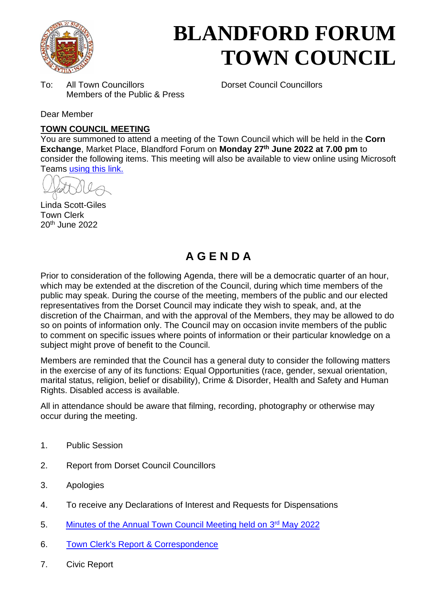

# **BLANDFORD FORUM TOWN COUNCIL**

To: All Town Councillors Dorset Council Councillors Members of the Public & Press

Dear Member

## **TOWN COUNCIL MEETING**

You are summoned to attend a meeting of the Town Council which will be held in the **Corn Exchange**, Market Place, Blandford Forum on **Monday 27 th June 2022 at 7.00 pm** to consider the following items. This meeting will also be available to view online using Microsoft Teams [using this link.](https://teams.microsoft.com/l/meetup-join/19%3a2cb1b1f9de074efdad40308940ab9ba0%40thread.tacv2/1650539737586?context=%7b%22Tid%22%3a%223cd8f2fb-4c45-4162-86f1-fb87b5f6a138%22%2c%22Oid%22%3a%2265e5950c-ab1c-41cc-9090-4a755c733f54%22%7d)

 $\theta$ 

Linda Scott-Giles Town Clerk 20th June 2022

# **A G E N D A**

Prior to consideration of the following Agenda, there will be a democratic quarter of an hour, which may be extended at the discretion of the Council, during which time members of the public may speak. During the course of the meeting, members of the public and our elected representatives from the Dorset Council may indicate they wish to speak, and, at the discretion of the Chairman, and with the approval of the Members, they may be allowed to do so on points of information only. The Council may on occasion invite members of the public to comment on specific issues where points of information or their particular knowledge on a subject might prove of benefit to the Council.

Members are reminded that the Council has a general duty to consider the following matters in the exercise of any of its functions: Equal Opportunities (race, gender, sexual orientation, marital status, religion, belief or disability), Crime & Disorder, Health and Safety and Human Rights. Disabled access is available.

All in attendance should be aware that filming, recording, photography or otherwise may occur during the meeting.

- 1. Public Session
- 2. Report from Dorset Council Councillors
- 3. Apologies
- 4. To receive any Declarations of Interest and Requests for Dispensations
- 5. [Minutes of the Annual Town Council Meeting held on 3](https://blandfordforum-tc.gov.uk/wp-content/uploads/2022/05/AMTC-030522.pdf)rd May 2022
- 6. Town Clerk's Report [& Correspondence](#page-2-0)
- 7. Civic Report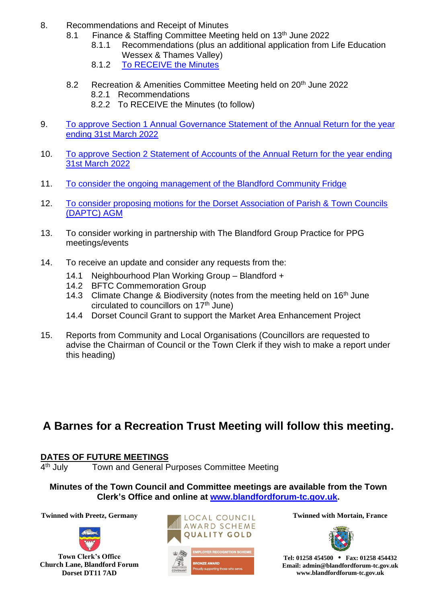- 8. Recommendations and Receipt of Minutes
	- 8.1 Finance & Staffing Committee Meeting held on 13<sup>th</sup> June 2022
		- 8.1.1 Recommendations (plus an additional application from Life Education Wessex & Thames Valley)
		- 8.1.2 [To RECEIVE the Minutes](https://blandfordforum-tc.gov.uk/wp-content/uploads/2022/06/130622.pdf)
	- 8.2 Recreation & Amenities Committee Meeting held on 20<sup>th</sup> June 2022 8.2.1 Recommendations 8.2.2 To RECEIVE the Minutes (to follow)
- 9. [To approve Section 1 Annual Governance Statement of the](#page-3-0) Annual Return for the year [ending 31st March 2022](#page-3-0)
- 10. To approve [Section 2 Statement of Accounts of the Annual Return for the year ending](#page-4-0)  31st [March 2022](#page-4-0)
- 11. [To consider the ongoing management of the Blandford Community Fridge](#page-5-0)
- 12. To consider proposing [motions for the Dorset Association of Parish & Town Councils](#page-7-0)  [\(DAPTC\) AGM](#page-7-0)
- 13. To consider working in partnership with The Blandford Group Practice for PPG meetings/events
- 14. To receive an update and consider any requests from the:
	- 14.1 Neighbourhood Plan Working Group Blandford +
	- 14.2 BFTC Commemoration Group
	- 14.3 Climate Change & Biodiversity (notes from the meeting held on 16<sup>th</sup> June circulated to councillors on 17<sup>th</sup> June)
	- 14.4 Dorset Council Grant to support the Market Area Enhancement Project
- 15. Reports from Community and Local Organisations (Councillors are requested to advise the Chairman of Council or the Town Clerk if they wish to make a report under this heading)

# **A Barnes for a Recreation Trust Meeting will follow this meeting.**

## **DATES OF FUTURE MEETINGS**

 $4<sup>th</sup>$  July Town and General Purposes Committee Meeting

**Minutes of the Town Council and Committee meetings are available from the Town Clerk's Office and online at [www.blandfordforum-tc.gov.uk.](http://www.blandfordforum-tc.gov.uk/)** 



**Town Clerk's Office Church Lane, Blandford Forum Dorset DT11 7AD**





**Tel: 01258 454500 • Fax: 01258 454432 Email: admin@blandfordforum-tc.gov.uk www.blandfordforum-tc.gov.uk**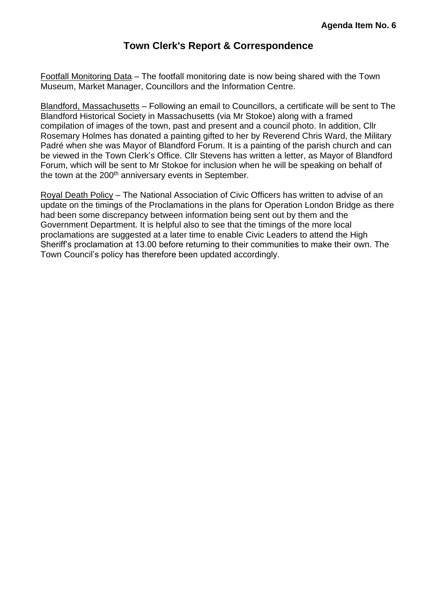## **Town Clerk's Report & Correspondence**

<span id="page-2-0"></span>Footfall Monitoring Data – The footfall monitoring date is now being shared with the Town Museum, Market Manager, Councillors and the Information Centre.

Blandford, Massachusetts – Following an email to Councillors, a certificate will be sent to The Blandford Historical Society in Massachusetts (via Mr Stokoe) along with a framed compilation of images of the town, past and present and a council photo. In addition, Cllr Rosemary Holmes has donated a painting gifted to her by Reverend Chris Ward, the Military Padré when she was Mayor of Blandford Forum. It is a painting of the parish church and can be viewed in the Town Clerk's Office. Cllr Stevens has written a letter, as Mayor of Blandford Forum, which will be sent to Mr Stokoe for inclusion when he will be speaking on behalf of the town at the 200<sup>th</sup> anniversary events in September.

Royal Death Policy – The National Association of Civic Officers has written to advise of an update on the timings of the Proclamations in the plans for Operation London Bridge as there had been some discrepancy between information being sent out by them and the Government Department. It is helpful also to see that the timings of the more local proclamations are suggested at a later time to enable Civic Leaders to attend the High Sheriff's proclamation at 13.00 before returning to their communities to make their own. The Town Council's policy has therefore been updated accordingly.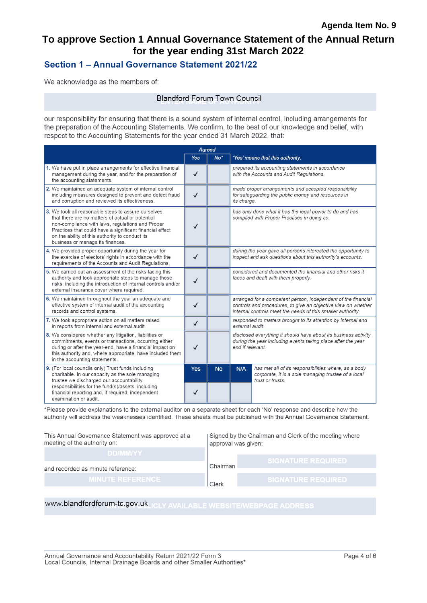# <span id="page-3-0"></span>To approve Section 1 Annual Governance Statement of the Annual Return for the year ending 31st March 2022

## Section 1 - Annual Governance Statement 2021/22

We acknowledge as the members of:

#### **Blandford Forum Town Council**

our responsibility for ensuring that there is a sound system of internal control, including arrangements for the preparation of the Accounting Statements. We confirm, to the best of our knowledge and belief, with respect to the Accounting Statements for the year ended 31 March 2022, that:

|                                                                                                                                                                                                                                                                                                                | Agreed       |           |                                                                                                                                                                                               |                                                                                                                                 |  |
|----------------------------------------------------------------------------------------------------------------------------------------------------------------------------------------------------------------------------------------------------------------------------------------------------------------|--------------|-----------|-----------------------------------------------------------------------------------------------------------------------------------------------------------------------------------------------|---------------------------------------------------------------------------------------------------------------------------------|--|
|                                                                                                                                                                                                                                                                                                                | <b>Yes</b>   | $No*$     |                                                                                                                                                                                               | 'Yes' means that this authority:                                                                                                |  |
| 1. We have put in place arrangements for effective financial<br>management during the year, and for the preparation of<br>the accounting statements.                                                                                                                                                           | $\checkmark$ |           |                                                                                                                                                                                               | prepared its accounting statements in accordance<br>with the Accounts and Audit Regulations.                                    |  |
| 2. We maintained an adequate system of internal control<br>including measures designed to prevent and detect fraud<br>and corruption and reviewed its effectiveness.                                                                                                                                           | $\checkmark$ |           | its charge.                                                                                                                                                                                   | made proper arrangements and accepted responsibility<br>for safeguarding the public money and resources in                      |  |
| 3. We took all reasonable steps to assure ourselves<br>that there are no matters of actual or potential<br>non-compliance with laws, regulations and Proper<br>Practices that could have a significant financial effect<br>on the ability of this authority to conduct its<br>business or manage its finances. | ✓            |           |                                                                                                                                                                                               | has only done what it has the legal power to do and has<br>complied with Proper Practices in doing so.                          |  |
| 4. We provided proper opportunity during the year for<br>the exercise of electors' rights in accordance with the<br>requirements of the Accounts and Audit Requlations.                                                                                                                                        | $\checkmark$ |           | during the year gave all persons interested the opportunity to<br>inspect and ask questions about this authority's accounts.                                                                  |                                                                                                                                 |  |
| 5. We carried out an assessment of the risks facing this<br>authority and took appropriate steps to manage those<br>risks, including the introduction of internal controls and/or<br>external insurance cover where required.                                                                                  | $\checkmark$ |           | considered and documented the financial and other risks it<br>faces and dealt with them properly.                                                                                             |                                                                                                                                 |  |
| 6. We maintained throughout the year an adequate and<br>effective system of internal audit of the accounting<br>records and control systems.                                                                                                                                                                   | $\checkmark$ |           | arranged for a competent person, independent of the financial<br>controls and procedures, to give an objective view on whether<br>internal controls meet the needs of this smaller authority. |                                                                                                                                 |  |
| 7. We took appropriate action on all matters raised<br>in reports from internal and external audit.                                                                                                                                                                                                            | $\checkmark$ |           | responded to matters brought to its attention by internal and<br>external audit.                                                                                                              |                                                                                                                                 |  |
| 8. We considered whether any litigation, liabilities or<br>commitments, events or transactions, occurring either<br>during or after the year-end, have a financial impact on<br>this authority and, where appropriate, have included them<br>in the accounting statements.                                     | $\checkmark$ |           | disclosed everything it should have about its business activity<br>during the year including events taking place after the year<br>end if relevant.                                           |                                                                                                                                 |  |
| 9. (For local councils only) Trust funds including<br>charitable. In our capacity as the sole managing<br>trustee we discharged our accountability<br>responsibilities for the fund(s)/assets, including                                                                                                       | <b>Yes</b>   | <b>No</b> | N/A                                                                                                                                                                                           | has met all of its responsibilities where, as a body<br>corporate, it is a sole managing trustee of a local<br>trust or trusts. |  |
| financial reporting and, if required, independent<br>examination or audit.                                                                                                                                                                                                                                     | ✓            |           |                                                                                                                                                                                               |                                                                                                                                 |  |

\*Please provide explanations to the external auditor on a separate sheet for each 'No' response and describe how the authority will address the weaknesses identified. These sheets must be published with the Annual Governance Statement.

| This Annual Governance Statement was approved at a<br>meeting of the authority on: | Signed by the Chairman and Clerk of the meeting where<br>approval was given: |                             |  |
|------------------------------------------------------------------------------------|------------------------------------------------------------------------------|-----------------------------|--|
|                                                                                    |                                                                              |                             |  |
|                                                                                    |                                                                              |                             |  |
|                                                                                    | Chairman                                                                     |                             |  |
|                                                                                    |                                                                              |                             |  |
| <b>MINUTE REFERENCE</b>                                                            | Clerk                                                                        | <b>. SIGNATURE REQUIRED</b> |  |
| <b>DD/MM/YY</b><br>and recorded as minute reference:                               |                                                                              | <b>I SIGNATURE REQUIRED</b> |  |

# www.blandfordforum-tc.gov.uk\_ICLY AVAILABLE WEBSITE/WEBPAGE ADDRESS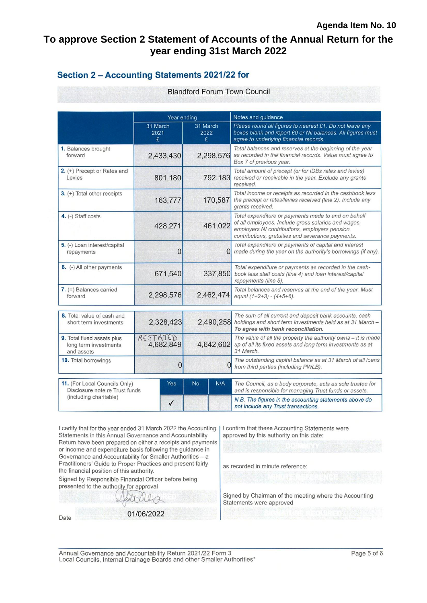## <span id="page-4-0"></span>To approve Section 2 Statement of Accounts of the Annual Return for the year ending 31st March 2022

### Section 2 - Accounting Statements 2021/22 for

**Blandford Forum Town Council** 

|                                                                                                                  | Year ending           |                       | Notes and guidance                                                                                                                                                                                               |  |  |
|------------------------------------------------------------------------------------------------------------------|-----------------------|-----------------------|------------------------------------------------------------------------------------------------------------------------------------------------------------------------------------------------------------------|--|--|
|                                                                                                                  | 31 March<br>2021<br>£ | 31 March<br>2022<br>£ | Please round all figures to nearest £1. Do not leave any<br>boxes blank and report £0 or Nil balances. All figures must<br>agree to underlying financial records.                                                |  |  |
| 1. Balances brought<br>forward                                                                                   | 2,433,430             | 2,298,576             | Total balances and reserves at the beginning of the year<br>as recorded in the financial records. Value must agree to<br>Box 7 of previous year.                                                                 |  |  |
| 2. (+) Precept or Rates and<br>Levies                                                                            | 801,180               | 792,183               | Total amount of precept (or for IDBs rates and levies)<br>received or receivable in the year. Exclude any grants<br>received.                                                                                    |  |  |
| 3. (+) Total other receipts                                                                                      | 163,777               | 170,587               | Total income or receipts as recorded in the cashbook less<br>the precept or rates/levies received (line 2). Include any<br>grants received.                                                                      |  |  |
| 4. (-) Staff costs                                                                                               | 428,271               | 461,022               | Total expenditure or payments made to and on behalf<br>of all employees. Include gross salaries and wages,<br>employers NI contributions, employers pension<br>contributions, gratuities and severance payments. |  |  |
| 5. (-) Loan interest/capital<br>repayments                                                                       | 0                     |                       | Total expenditure or payments of capital and interest<br>$\Omega$ made during the year on the authority's borrowings (if any).                                                                                   |  |  |
| 6. (-) All other payments                                                                                        | 671,540               | 337,850               | Total expenditure or payments as recorded in the cash-<br>book less staff costs (line 4) and loan interest/capital<br>repayments (line 5).                                                                       |  |  |
| $7.$ (=) Balances carried<br>forward                                                                             | 2,298,576             | 2,462,474             | Total balances and reserves at the end of the year. Must<br>equal $(1+2+3) - (4+5+6)$ .                                                                                                                          |  |  |
| 8. Total value of cash and<br>short term investments                                                             | 2,328,423             | 2,490,258             | The sum of all current and deposit bank accounts, cash<br>holdings and short term investments held as at 31 March -<br>To agree with bank reconciliation.                                                        |  |  |
| 9. Total fixed assets plus<br>long term investments<br>and assets                                                | RESTATED<br>4,682,849 | 4,642,602             | The value of all the property the authority owns - it is made<br>up of all its fixed assets and long term investments as at<br>31 March.                                                                         |  |  |
| 10. Total borrowings                                                                                             | 0                     |                       | The outstanding capital balance as at 31 March of all loans<br>from third parties (including PWLB).                                                                                                              |  |  |
| 11. (For Local Councils Only)<br>Yes<br>Disclosure note re Trust funds<br>(including charitable)<br>$\checkmark$ |                       | N/A<br><b>No</b>      | The Council, as a body corporate, acts as sole trustee for<br>and is responsible for managing Trust funds or assets.                                                                                             |  |  |
|                                                                                                                  |                       |                       | N.B. The figures in the accounting statements above do<br>not include any Trust transactions.                                                                                                                    |  |  |

I certify that for the year ended 31 March 2022 the Accounting Statements in this Annual Governance and Accountability approved by this authority on this date: Return have been prepared on either a receipts and payments or income and expenditure basis following the guidance in Governance and Accountability for Smaller Authorities - a Practitioners' Guide to Proper Practices and present fairly as recorded in minute reference: the financial position of this authority. Signed by Responsible Financial Officer before being presented to the authority for approval Statements were approved

Date

01/06/2022

I confirm that these Accounting Statements were

Signed by Chairman of the meeting where the Accounting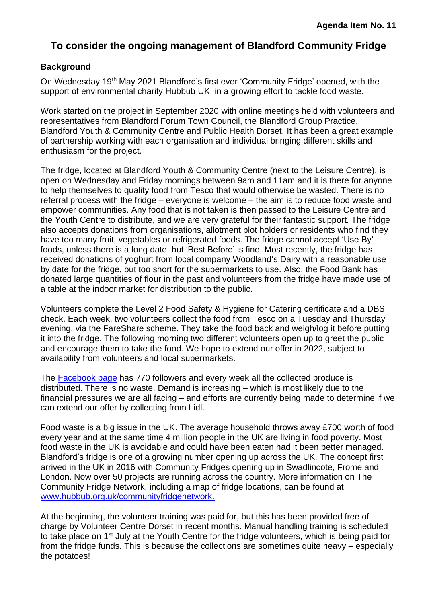# <span id="page-5-0"></span>**To consider the ongoing management of Blandford Community Fridge**

### **Background**

On Wednesday 19th May 2021 Blandford's first ever 'Community Fridge' opened, with the support of environmental charity Hubbub UK, in a growing effort to tackle food waste.

Work started on the project in September 2020 with online meetings held with volunteers and representatives from Blandford Forum Town Council, the Blandford Group Practice, Blandford Youth & Community Centre and Public Health Dorset. It has been a great example of partnership working with each organisation and individual bringing different skills and enthusiasm for the project.

The fridge, located at Blandford Youth & Community Centre (next to the Leisure Centre), is open on Wednesday and Friday mornings between 9am and 11am and it is there for anyone to help themselves to quality food from Tesco that would otherwise be wasted. There is no referral process with the fridge – everyone is welcome – the aim is to reduce food waste and empower communities. Any food that is not taken is then passed to the Leisure Centre and the Youth Centre to distribute, and we are very grateful for their fantastic support. The fridge also accepts donations from organisations, allotment plot holders or residents who find they have too many fruit, vegetables or refrigerated foods. The fridge cannot accept 'Use By' foods, unless there is a long date, but 'Best Before' is fine. Most recently, the fridge has received donations of yoghurt from local company Woodland's Dairy with a reasonable use by date for the fridge, but too short for the supermarkets to use. Also, the Food Bank has donated large quantities of flour in the past and volunteers from the fridge have made use of a table at the indoor market for distribution to the public.

Volunteers complete the Level 2 Food Safety & Hygiene for Catering certificate and a DBS check. Each week, two volunteers collect the food from Tesco on a Tuesday and Thursday evening, via the FareShare scheme. They take the food back and weigh/log it before putting it into the fridge. The following morning two different volunteers open up to greet the public and encourage them to take the food. We hope to extend our offer in 2022, subject to availability from volunteers and local supermarkets.

The Facebook page has 770 followers and every week all the collected produce is distributed. There is no waste. Demand is increasing – which is most likely due to the financial pressures we are all facing – and efforts are currently being made to determine if we can extend our offer by collecting from Lidl.

Food waste is a big issue in the UK. The average household throws away £700 worth of food every year and at the same time 4 million people in the UK are living in food poverty. Most food waste in the UK is avoidable and could have been eaten had it been better managed. Blandford's fridge is one of a growing number opening up across the UK. The concept first arrived in the UK in 2016 with Community Fridges opening up in Swadlincote, Frome and London. Now over 50 projects are running across the country. More information on The Community Fridge Network, including a map of fridge locations, can be found at www.hubbub.org.uk/communityfridgenetwork.

At the beginning, the volunteer training was paid for, but this has been provided free of charge by Volunteer Centre Dorset in recent months. Manual handling training is scheduled to take place on 1<sup>st</sup> July at the Youth Centre for the fridge volunteers, which is being paid for from the fridge funds. This is because the collections are sometimes quite heavy – especially the potatoes!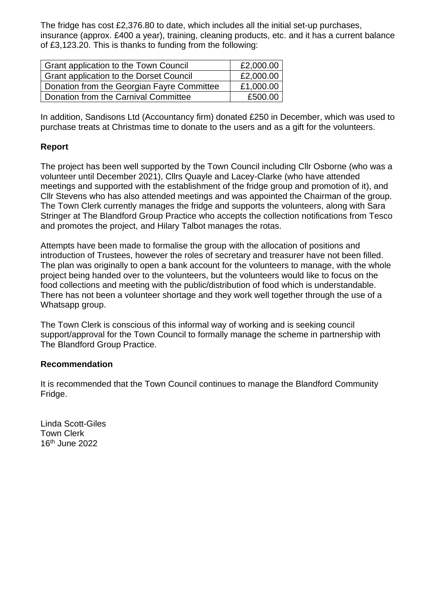The fridge has cost £2,376.80 to date, which includes all the initial set-up purchases, insurance (approx. £400 a year), training, cleaning products, etc. and it has a current balance of £3,123.20. This is thanks to funding from the following:

| Grant application to the Town Council      | £2,000.00 |
|--------------------------------------------|-----------|
| Grant application to the Dorset Council    | £2,000.00 |
| Donation from the Georgian Fayre Committee | £1,000.00 |
| Donation from the Carnival Committee       | £500.00   |

In addition, Sandisons Ltd (Accountancy firm) donated £250 in December, which was used to purchase treats at Christmas time to donate to the users and as a gift for the volunteers.

## **Report**

The project has been well supported by the Town Council including Cllr Osborne (who was a volunteer until December 2021), Cllrs Quayle and Lacey-Clarke (who have attended meetings and supported with the establishment of the fridge group and promotion of it), and Cllr Stevens who has also attended meetings and was appointed the Chairman of the group. The Town Clerk currently manages the fridge and supports the volunteers, along with Sara Stringer at The Blandford Group Practice who accepts the collection notifications from Tesco and promotes the project, and Hilary Talbot manages the rotas.

Attempts have been made to formalise the group with the allocation of positions and introduction of Trustees, however the roles of secretary and treasurer have not been filled. The plan was originally to open a bank account for the volunteers to manage, with the whole project being handed over to the volunteers, but the volunteers would like to focus on the food collections and meeting with the public/distribution of food which is understandable. There has not been a volunteer shortage and they work well together through the use of a Whatsapp group.

The Town Clerk is conscious of this informal way of working and is seeking council support/approval for the Town Council to formally manage the scheme in partnership with The Blandford Group Practice.

#### **Recommendation**

It is recommended that the Town Council continues to manage the Blandford Community Fridge.

Linda Scott-Giles Town Clerk 16th June 2022